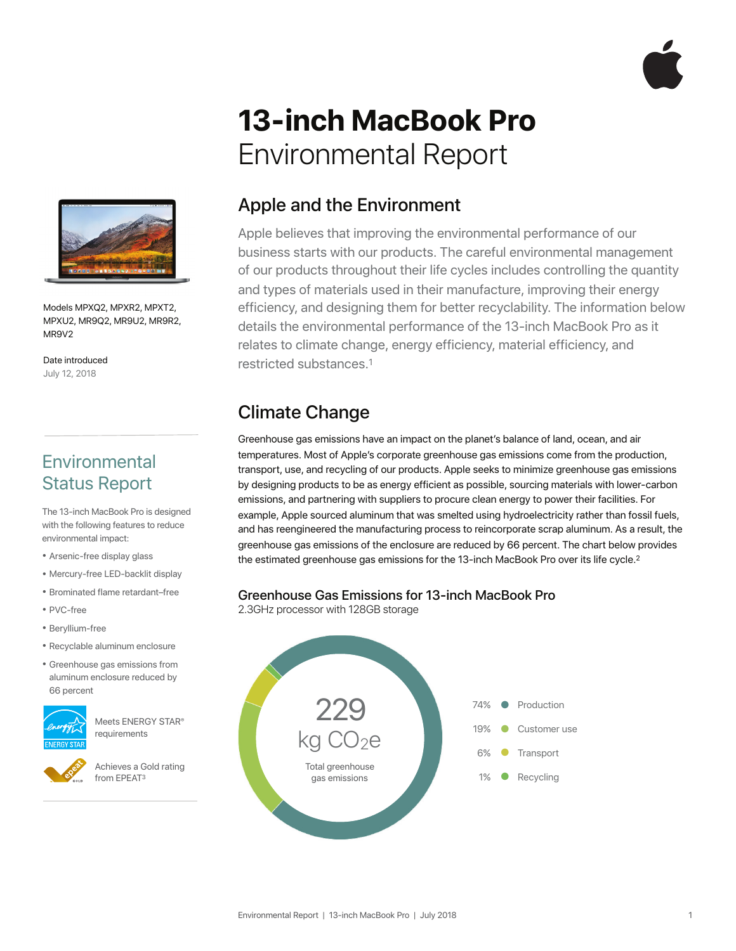

# **13-inch MacBook Pro**  Environmental Report



Models MPXQ2, MPXR2, MPXT2, MPXU2, MR9Q2, MR9U2, MR9R2, MR9V2

Date introduced July 12, 2018

### **Environmental** Status Report

The 13-inch MacBook Pro is designed with the following features to reduce environmental impact:

- Arsenic-free display glass
- Mercury-free LED-backlit display
- Brominated flame retardant–free
- PVC-free
- Beryllium-free
- Recyclable aluminum enclosure
- Greenhouse gas emissions from aluminum enclosure reduced by 66 percent



Meets ENERGY STAR® requirements

Achieves a Gold rating from EPEAT3

#### Apple and the Environment

Apple believes that improving the environmental performance of our business starts with our products. The careful environmental management of our products throughout their life cycles includes controlling the quantity and types of materials used in their manufacture, improving their energy efficiency, and designing them for better recyclability. The information below details the environmental performance of the 13-inch MacBook Pro as it relates to climate change, energy efficiency, material efficiency, and restricted substances.1

## Climate Change

Greenhouse gas emissions have an impact on the planet's balance of land, ocean, and air temperatures. Most of Apple's corporate greenhouse gas emissions come from the production, transport, use, and recycling of our products. Apple seeks to minimize greenhouse gas emissions by designing products to be as energy efficient as possible, sourcing materials with lower-carbon emissions, and partnering with suppliers to procure clean energy to power their facilities. For example, Apple sourced aluminum that was smelted using hydroelectricity rather than fossil fuels, and has reengineered the manufacturing process to reincorporate scrap aluminum. As a result, the greenhouse gas emissions of the enclosure are reduced by 66 percent. The chart below provides the estimated greenhouse gas emissions for the 13-inch MacBook Pro over its life cycle.<sup>2</sup>

## **Greenhouse Gas Emissions for 13-inch MacBook Pro** 2.3GHz processor with 128GB storage

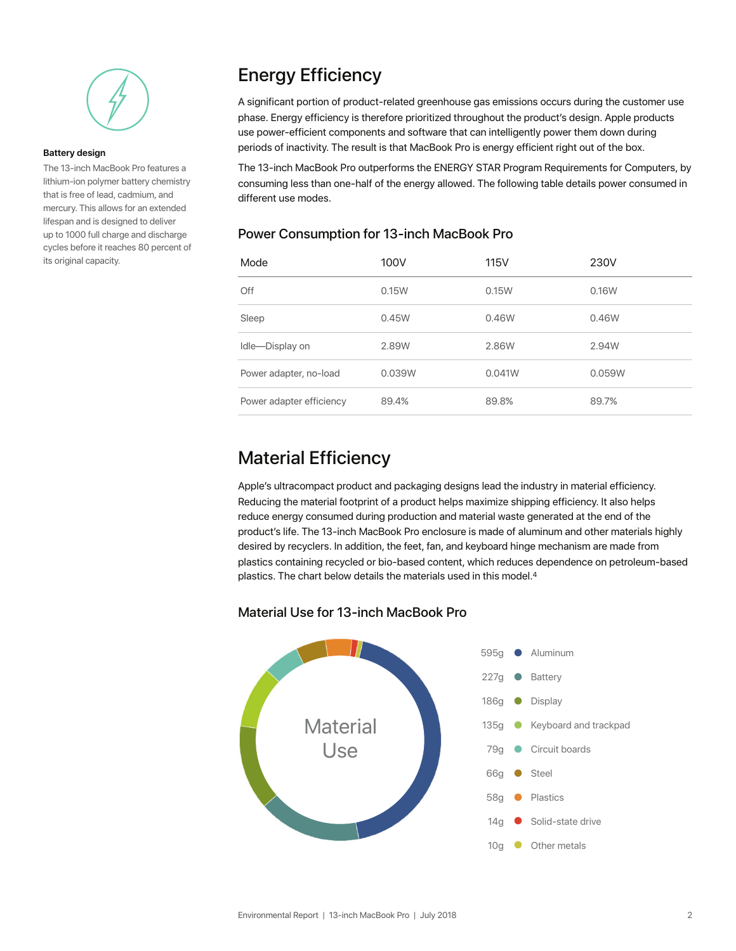

#### **Battery design**

The 13-inch MacBook Pro features a lithium-ion polymer battery chemistry that is free of lead, cadmium, and mercury. This allows for an extended lifespan and is designed to deliver up to 1000 full charge and discharge cycles before it reaches 80 percent of its original capacity.

### Energy Efficiency

A significant portion of product-related greenhouse gas emissions occurs during the customer use phase. Energy efficiency is therefore prioritized throughout the product's design. Apple products use power-efficient components and software that can intelligently power them down during periods of inactivity. The result is that MacBook Pro is energy efficient right out of the box.

The 13-inch MacBook Pro outperforms the ENERGY STAR Program Requirements for Computers, by consuming less than one-half of the energy allowed. The following table details power consumed in different use modes.

#### Power Consumption for 13-inch MacBook Pro

| Mode                     | 100V   | <b>115V</b> | 230V   |
|--------------------------|--------|-------------|--------|
| Off                      | 0.15W  | 0.15W       | 0.16W  |
| Sleep                    | 0.45W  | 0.46W       | 0.46W  |
| Idle-Display on          | 2.89W  | 2.86W       | 2.94W  |
| Power adapter, no-load   | 0.039W | 0.041W      | 0.059W |
| Power adapter efficiency | 89.4%  | 89.8%       | 89.7%  |

#### Material Efficiency

Apple's ultracompact product and packaging designs lead the industry in material efficiency. Reducing the material footprint of a product helps maximize shipping efficiency. It also helps reduce energy consumed during production and material waste generated at the end of the product's life. The 13-inch MacBook Pro enclosure is made of aluminum and other materials highly desired by recyclers. In addition, the feet, fan, and keyboard hinge mechanism are made from plastics containing recycled or bio-based content, which reduces dependence on petroleum-based plastics. The chart below details the materials used in this model.4

#### Material Use for 13-inch MacBook Pro

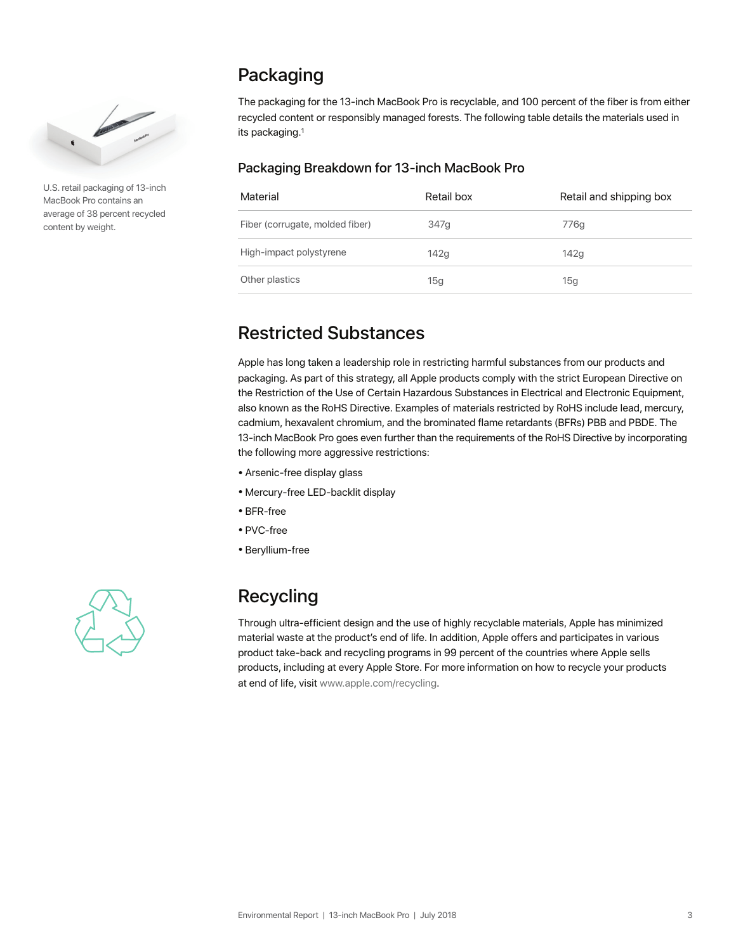

U.S. retail packaging of 13-inch MacBook Pro contains an average of 38 percent recycled content by weight.

### Packaging

The packaging for the 13-inch MacBook Pro is recyclable, and 100 percent of the fiber is from either recycled content or responsibly managed forests. The following table details the materials used in its packaging.1

#### Packaging Breakdown for 13-inch MacBook Pro

| Material                        | Retail box | Retail and shipping box |
|---------------------------------|------------|-------------------------|
| Fiber (corrugate, molded fiber) | 347q       | 776q                    |
| High-impact polystyrene         | 142q       | 142q                    |
| Other plastics                  | 15g        | 15g                     |

## Restricted Substances

Apple has long taken a leadership role in restricting harmful substances from our products and packaging. As part of this strategy, all Apple products comply with the strict European Directive on the Restriction of the Use of Certain Hazardous Substances in Electrical and Electronic Equipment, also known as the RoHS Directive. Examples of materials restricted by RoHS include lead, mercury, cadmium, hexavalent chromium, and the brominated flame retardants (BFRs) PBB and PBDE. The 13-inch MacBook Pro goes even further than the requirements of the RoHS Directive by incorporating the following more aggressive restrictions:

- Arsenic-free display glass
- Mercury-free LED-backlit display
- BFR-free
- PVC-free
- Beryllium-free



## Recycling

Through ultra-efficient design and the use of highly recyclable materials, Apple has minimized material waste at the product's end of life. In addition, Apple offers and participates in various product take-back and recycling programs in 99 percent of the countries where Apple sells products, including at every Apple Store. For more information on how to recycle your products at end of life, visi[t www.apple.com/recycling.](http://www.apple.com/recycling)